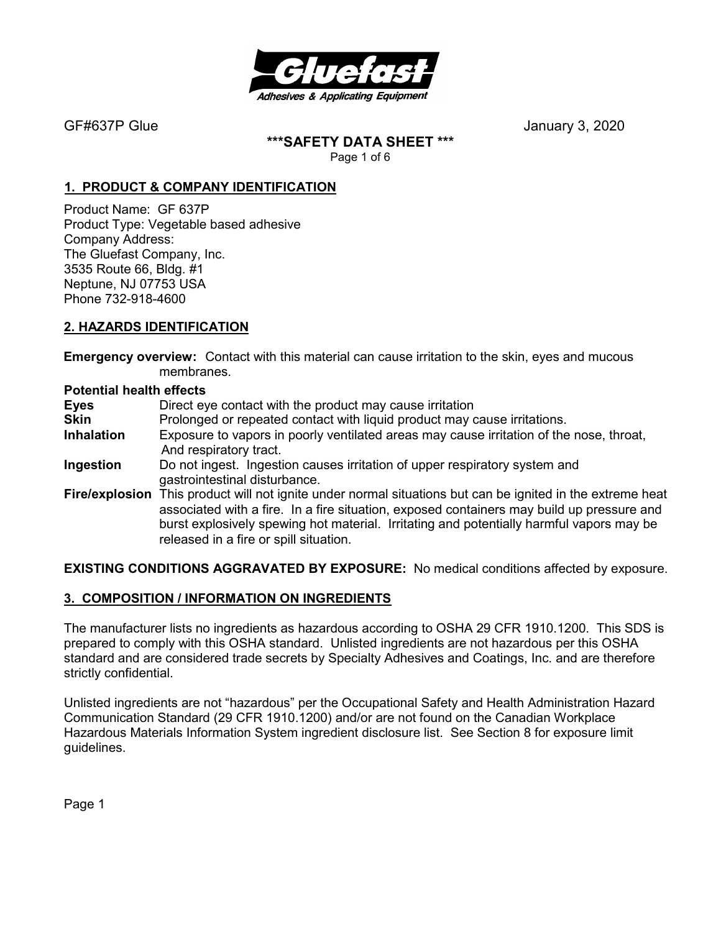

**\*\*\*SAFETY DATA SHEET \*\*\*** 

Page 1 of 6

# **1. PRODUCT & COMPANY IDENTIFICATION**

Product Name: GF 637P Product Type: Vegetable based adhesive Company Address: The Gluefast Company, Inc. 3535 Route 66, Bldg. #1 Neptune, NJ 07753 USA Phone 732-918-4600

# **2. HAZARDS IDENTIFICATION**

**Emergency overview:** Contact with this material can cause irritation to the skin, eyes and mucous membranes.

#### **Potential health effects**

**Eyes** Direct eye contact with the product may cause irritation

- **Skin** Prolonged or repeated contact with liquid product may cause irritations.
- **Inhalation** Exposure to vapors in poorly ventilated areas may cause irritation of the nose, throat,And respiratory tract.
- **Ingestion** Do not ingest. Ingestion causes irritation of upper respiratory system and gastrointestinal disturbance.
- **Fire/explosion** This product will not ignite under normal situations but can be ignited in the extreme heat associated with a fire. In a fire situation, exposed containers may build up pressure and burst explosively spewing hot material. Irritating and potentially harmful vapors may be released in a fire or spill situation.

**EXISTING CONDITIONS AGGRAVATED BY EXPOSURE:** No medical conditions affected by exposure.

# **3. COMPOSITION / INFORMATION ON INGREDIENTS**

The manufacturer lists no ingredients as hazardous according to OSHA 29 CFR 1910.1200. This SDS is prepared to comply with this OSHA standard. Unlisted ingredients are not hazardous per this OSHA standard and are considered trade secrets by Specialty Adhesives and Coatings, Inc. and are therefore strictly confidential.

Unlisted ingredients are not "hazardous" per the Occupational Safety and Health Administration Hazard Communication Standard (29 CFR 1910.1200) and/or are not found on the Canadian Workplace Hazardous Materials Information System ingredient disclosure list. See Section 8 for exposure limit guidelines.

Page 1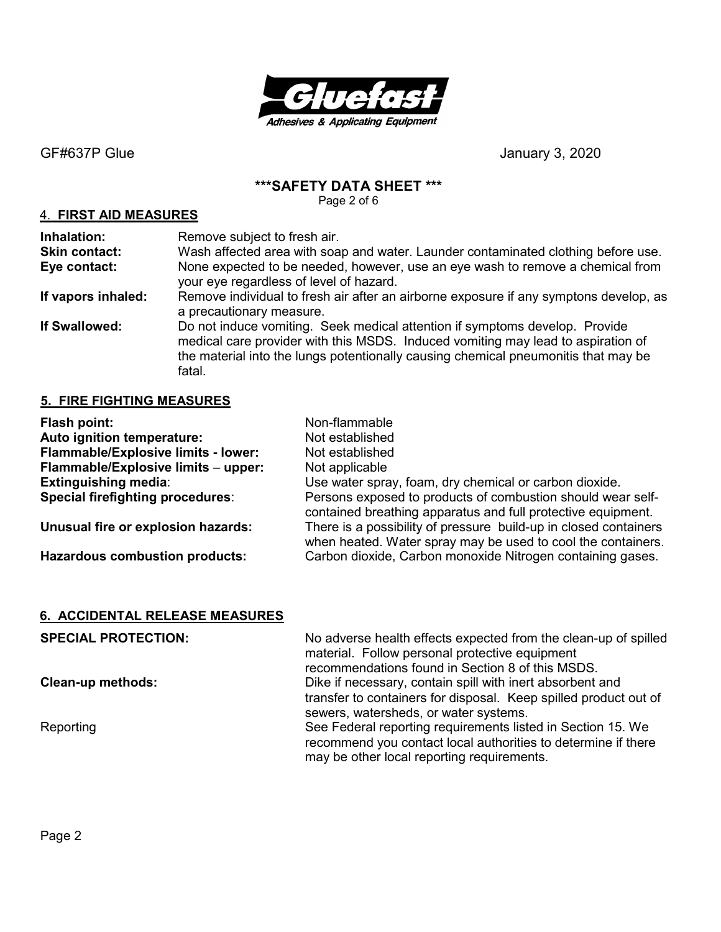

#### **\*\*\*SAFETY DATA SHEET \*\*\***

Page 2 of 6

#### 4. **FIRST AID MEASURES**

**Inhalation:** Remove subject to fresh air. **Skin contact:** Wash affected area with soap and water. Launder contaminated clothing before use. **Eye contact:** None expected to be needed, however, use an eye wash to remove a chemical from your eye regardless of level of hazard. **If vapors inhaled:** Remove individual to fresh air after an airborne exposure if any symptons develop, as a precautionary measure. **If Swallowed:** Do not induce vomiting. Seek medical attention if symptoms develop. Provide medical care provider with this MSDS. Induced vomiting may lead to aspiration of the material into the lungs potentionally causing chemical pneumonitis that may be fatal.

#### **5. FIRE FIGHTING MEASURES**

| Flash point:                          | Non-flammable                                                                                                                    |
|---------------------------------------|----------------------------------------------------------------------------------------------------------------------------------|
| Auto ignition temperature:            | Not established                                                                                                                  |
| Flammable/Explosive limits - lower:   | Not established                                                                                                                  |
| Flammable/Explosive limits - upper:   | Not applicable                                                                                                                   |
| <b>Extinguishing media:</b>           | Use water spray, foam, dry chemical or carbon dioxide.                                                                           |
| Special firefighting procedures:      | Persons exposed to products of combustion should wear self-<br>contained breathing apparatus and full protective equipment.      |
| Unusual fire or explosion hazards:    | There is a possibility of pressure build-up in closed containers<br>when heated. Water spray may be used to cool the containers. |
| <b>Hazardous combustion products:</b> | Carbon dioxide, Carbon monoxide Nitrogen containing gases.                                                                       |

#### **6. ACCIDENTAL RELEASE MEASURES**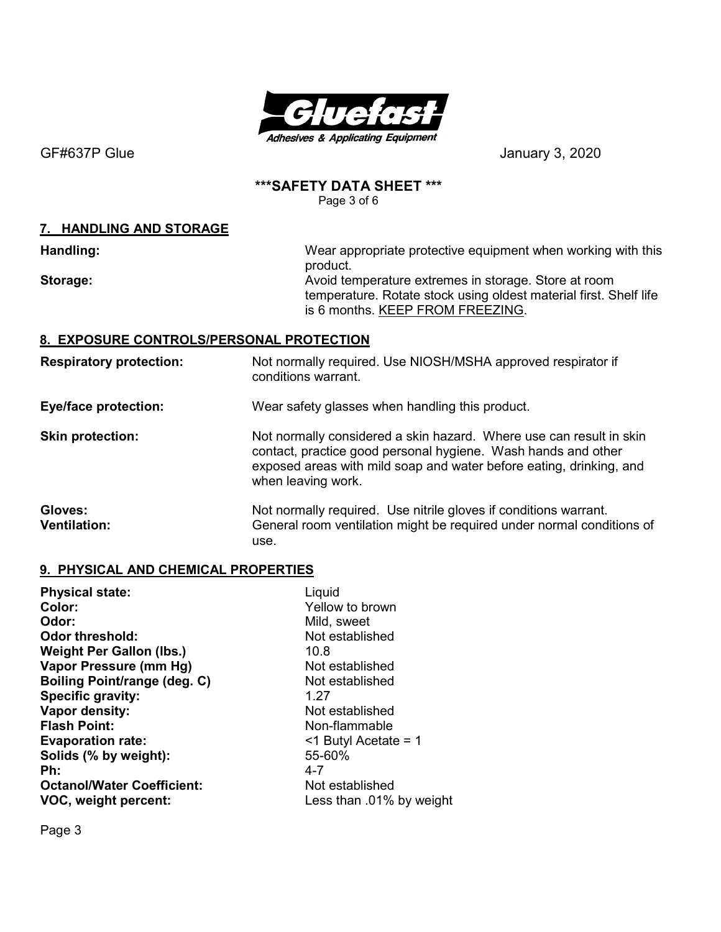

# **\*\*\*SAFETY DATA SHEET \*\*\***

Page 3 of 6

### **7. HANDLING AND STORAGE**

**Handling: Handling: Wear appropriate protective equipment when working with this** product. **Storage: Avoid temperature extremes in storage. Store at room** 

temperature. Rotate stock using oldest material first. Shelf life is 6 months. KEEP FROM FREEZING.

# **8. EXPOSURE CONTROLS/PERSONAL PROTECTION**

**Respiratory protection:** Not normally required. Use NIOSH/MSHA approved respirator if conditions warrant.

**Eye/face protection:** Wear safety glasses when handling this product.

**Skin protection:** Not normally considered a skin hazard. Where use can result in skin contact, practice good personal hygiene. Wash hands and other exposed areas with mild soap and water before eating, drinking, and when leaving work.

Gloves: **Gloves:** Not normally required. Use nitrile gloves if conditions warrant. **Ventilation:** General room ventilation might be required under normal conditions of use.

# **9. PHYSICAL AND CHEMICAL PROPERTIES**

| Liquid                     |
|----------------------------|
| Yellow to brown            |
| Mild, sweet                |
| Not established            |
| 10.8                       |
| Not established            |
| Not established            |
| 1.27                       |
| Not established            |
| Non-flammable              |
| $\leq$ 1 Butyl Acetate = 1 |
| 55-60%                     |
| $4 - 7$                    |
| Not established            |
| Less than .01% by weight   |
|                            |

Page 3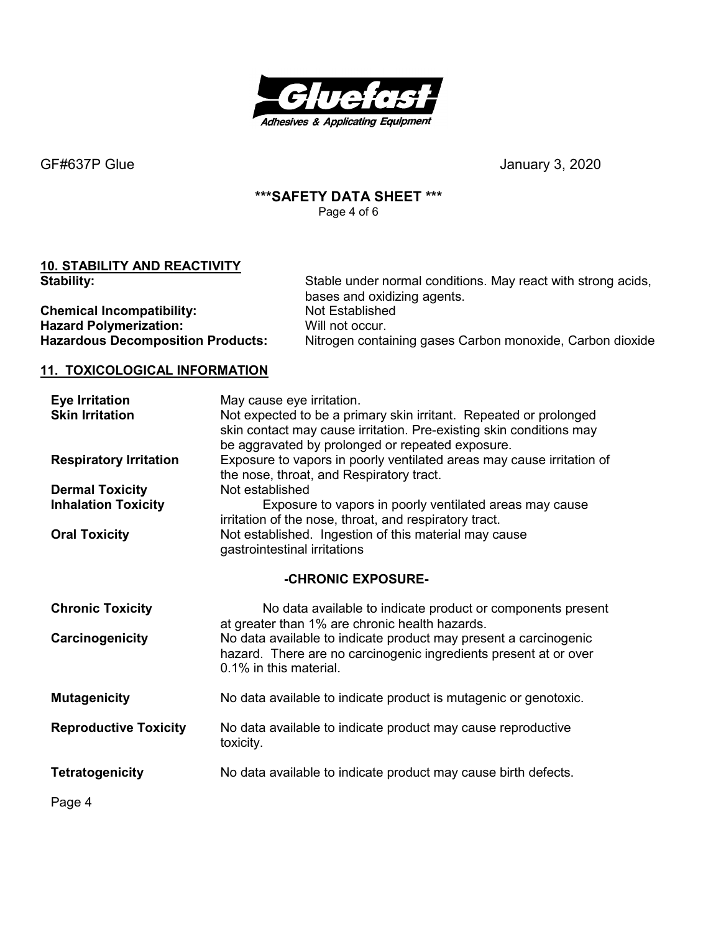

# **\*\*\*SAFETY DATA SHEET \*\*\***

Page 4 of 6

# **10. STABILITY AND REACTIVITY**

| <b>Stability:</b>                        | Stable under normal conditions. May react with strong acids,<br>bases and oxidizing agents. |
|------------------------------------------|---------------------------------------------------------------------------------------------|
| <b>Chemical Incompatibility:</b>         | Not Established                                                                             |
| <b>Hazard Polymerization:</b>            | Will not occur.                                                                             |
| <b>Hazardous Decomposition Products:</b> | Nitrogen containing gases Carbon monoxide, Carbon dioxide                                   |

# **11. TOXICOLOGICAL INFORMATION**

| <b>Eye Irritation</b><br><b>Skin Irritation</b>                              | May cause eye irritation.<br>Not expected to be a primary skin irritant. Repeated or prolonged<br>skin contact may cause irritation. Pre-existing skin conditions may<br>be aggravated by prolonged or repeated exposure.                             |
|------------------------------------------------------------------------------|-------------------------------------------------------------------------------------------------------------------------------------------------------------------------------------------------------------------------------------------------------|
| <b>Respiratory Irritation</b>                                                | Exposure to vapors in poorly ventilated areas may cause irritation of<br>the nose, throat, and Respiratory tract.                                                                                                                                     |
| <b>Dermal Toxicity</b><br><b>Inhalation Toxicity</b><br><b>Oral Toxicity</b> | Not established<br>Exposure to vapors in poorly ventilated areas may cause<br>irritation of the nose, throat, and respiratory tract.<br>Not established. Ingestion of this material may cause<br>gastrointestinal irritations                         |
|                                                                              | -CHRONIC EXPOSURE-                                                                                                                                                                                                                                    |
| <b>Chronic Toxicity</b><br>Carcinogenicity                                   | No data available to indicate product or components present<br>at greater than 1% are chronic health hazards.<br>No data available to indicate product may present a carcinogenic<br>hazard. There are no carcinogenic ingredients present at or over |
|                                                                              | 0.1% in this material.                                                                                                                                                                                                                                |
| <b>Mutagenicity</b>                                                          | No data available to indicate product is mutagenic or genotoxic.                                                                                                                                                                                      |
| <b>Reproductive Toxicity</b>                                                 | No data available to indicate product may cause reproductive<br>toxicity.                                                                                                                                                                             |
| <b>Tetratogenicity</b>                                                       | No data available to indicate product may cause birth defects.                                                                                                                                                                                        |
| Page 4                                                                       |                                                                                                                                                                                                                                                       |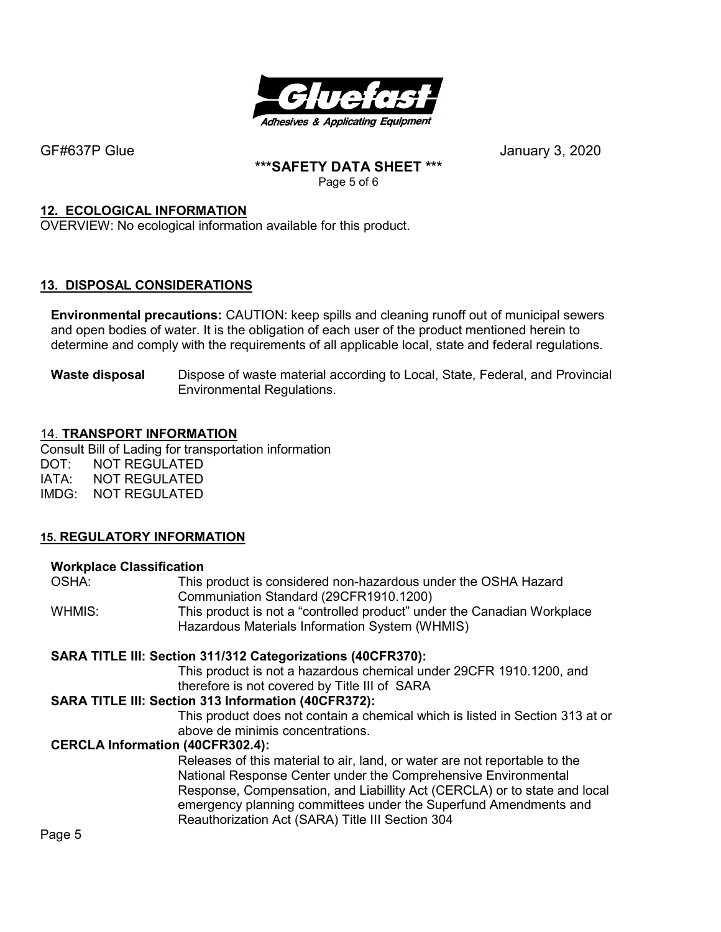

# **\*\*\*SAFETY DATA SHEET \*\*\***

Page 5 of 6

# **12. ECOLOGICAL INFORMATION**

OVERVIEW: No ecological information available for this product.

# **13. DISPOSAL CONSIDERATIONS**

**Environmental precautions:** CAUTION: keep spills and cleaning runoff out of municipal sewers and open bodies of water. It is the obligation of each user of the product mentioned herein to determine and comply with the requirements of all applicable local, state and federal regulations.

**Waste disposal** Dispose of waste material according to Local, State, Federal, and Provincial Environmental Regulations.

#### 14. **TRANSPORT INFORMATION**

Consult Bill of Lading for transportation information DOT: NOT REGULATED IATA: NOT REGULATED IMDG: NOT REGULATED

# **15. REGULATORY INFORMATION**

#### **Workplace Classification**

| OSHA:  | This product is considered non-hazardous under the OSHA Hazard          |
|--------|-------------------------------------------------------------------------|
|        | Communiation Standard (29CFR1910.1200)                                  |
| WHMIS: | This product is not a "controlled product" under the Canadian Workplace |
|        | Hazardous Materials Information System (WHMIS)                          |
|        |                                                                         |

#### **SARA TITLE III: Section 311/312 Categorizations (40CFR370):**

This product is not a hazardous chemical under 29CFR 1910.1200, and therefore is not covered by Title III of SARA

#### **SARA TITLE III: Section 313 Information (40CFR372):**

This product does not contain a chemical which is listed in Section 313 at or above de minimis concentrations.

#### **CERCLA Information (40CFR302.4):**

Releases of this material to air, land, or water are not reportable to the National Response Center under the Comprehensive Environmental Response, Compensation, and Liabillity Act (CERCLA) or to state and local emergency planning committees under the Superfund Amendments and Reauthorization Act (SARA) Title III Section 304